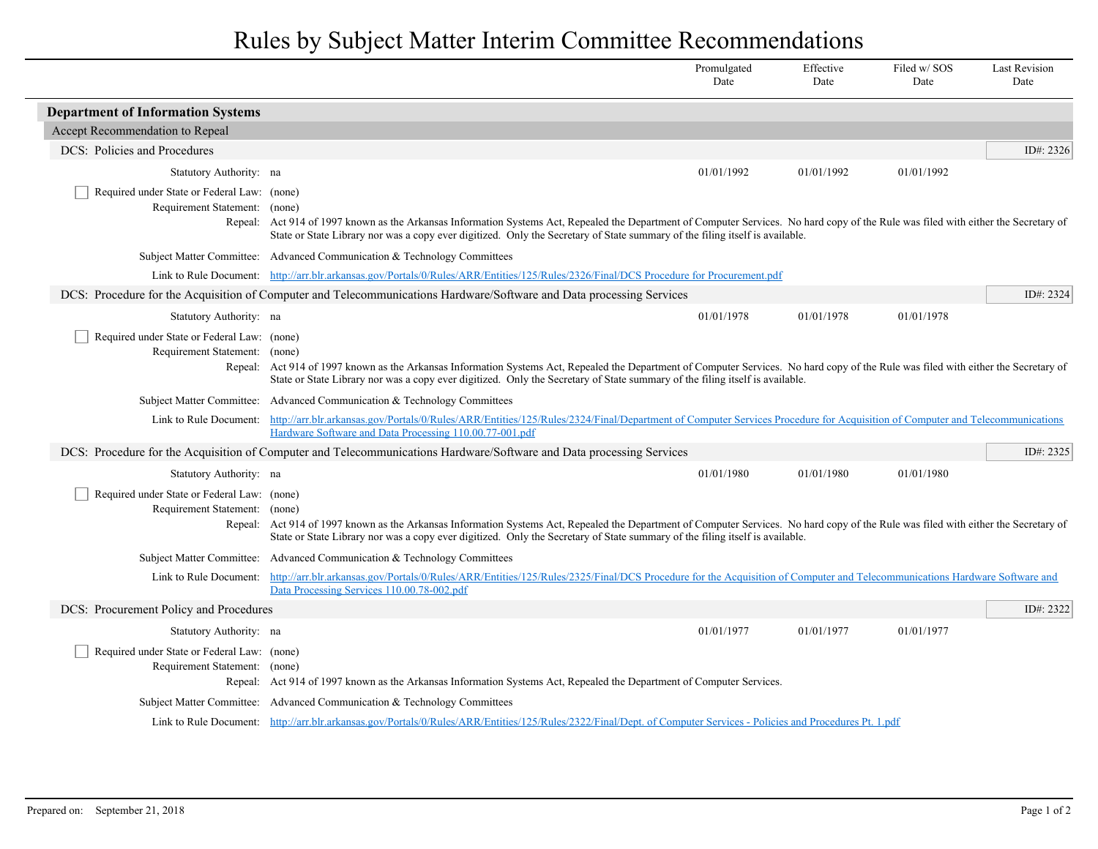## Rules by Subject Matter Interim Committee Recommendations

|                                             |                                                                                                                                                                                                                                                                                                                      | Promulgated<br>Date | Effective<br>Date | Filed w/SOS<br>Date | <b>Last Revision</b><br>Date |  |
|---------------------------------------------|----------------------------------------------------------------------------------------------------------------------------------------------------------------------------------------------------------------------------------------------------------------------------------------------------------------------|---------------------|-------------------|---------------------|------------------------------|--|
| <b>Department of Information Systems</b>    |                                                                                                                                                                                                                                                                                                                      |                     |                   |                     |                              |  |
| Accept Recommendation to Repeal             |                                                                                                                                                                                                                                                                                                                      |                     |                   |                     |                              |  |
| DCS: Policies and Procedures                |                                                                                                                                                                                                                                                                                                                      |                     |                   |                     | ID#: 2326                    |  |
| Statutory Authority: na                     |                                                                                                                                                                                                                                                                                                                      | 01/01/1992          | 01/01/1992        | 01/01/1992          |                              |  |
| Required under State or Federal Law: (none) |                                                                                                                                                                                                                                                                                                                      |                     |                   |                     |                              |  |
| Requirement Statement: (none)               |                                                                                                                                                                                                                                                                                                                      |                     |                   |                     |                              |  |
|                                             | Repeal: Act 914 of 1997 known as the Arkansas Information Systems Act, Repealed the Department of Computer Services. No hard copy of the Rule was filed with either the Secretary of<br>State or State Library nor was a copy ever digitized. Only the Secretary of State summary of the filing itself is available. |                     |                   |                     |                              |  |
|                                             | Subject Matter Committee: Advanced Communication & Technology Committees                                                                                                                                                                                                                                             |                     |                   |                     |                              |  |
|                                             | Link to Rule Document: http://arr.blr.arkansas.gov/Portals/0/Rules/ARR/Entities/125/Rules/2326/Final/DCS Procedure for Procurement.pdf                                                                                                                                                                               |                     |                   |                     |                              |  |
|                                             | DCS: Procedure for the Acquisition of Computer and Telecommunications Hardware/Software and Data processing Services                                                                                                                                                                                                 |                     |                   |                     | ID#: 2324                    |  |
| Statutory Authority: na                     |                                                                                                                                                                                                                                                                                                                      | 01/01/1978          | 01/01/1978        | 01/01/1978          |                              |  |
| Required under State or Federal Law: (none) |                                                                                                                                                                                                                                                                                                                      |                     |                   |                     |                              |  |
| Requirement Statement: (none)               | Repeal: Act 914 of 1997 known as the Arkansas Information Systems Act, Repealed the Department of Computer Services. No hard copy of the Rule was filed with either the Secretary of                                                                                                                                 |                     |                   |                     |                              |  |
|                                             | State or State Library nor was a copy ever digitized. Only the Secretary of State summary of the filing itself is available.                                                                                                                                                                                         |                     |                   |                     |                              |  |
|                                             | Subject Matter Committee: Advanced Communication & Technology Committees                                                                                                                                                                                                                                             |                     |                   |                     |                              |  |
|                                             | Link to Rule Document: http://arr.blr.arkansas.gov/Portals/0/Rules/ARR/Entities/125/Rules/2324/Final/Department of Computer Services Procedure for Acquisition of Computer and Telecommunications<br>Hardware Software and Data Processing 110.00.77-001.pdf                                                         |                     |                   |                     |                              |  |
|                                             | DCS: Procedure for the Acquisition of Computer and Telecommunications Hardware/Software and Data processing Services                                                                                                                                                                                                 |                     |                   |                     | ID#: 2325                    |  |
| Statutory Authority: na                     |                                                                                                                                                                                                                                                                                                                      | 01/01/1980          | 01/01/1980        | 01/01/1980          |                              |  |
| Required under State or Federal Law: (none) |                                                                                                                                                                                                                                                                                                                      |                     |                   |                     |                              |  |
| Requirement Statement: (none)               |                                                                                                                                                                                                                                                                                                                      |                     |                   |                     |                              |  |
|                                             | Repeal: Act 914 of 1997 known as the Arkansas Information Systems Act, Repealed the Department of Computer Services. No hard copy of the Rule was filed with either the Secretary of<br>State or State Library nor was a copy ever digitized. Only the Secretary of State summary of the filing itself is available. |                     |                   |                     |                              |  |
|                                             | Subject Matter Committee: Advanced Communication & Technology Committees                                                                                                                                                                                                                                             |                     |                   |                     |                              |  |
|                                             | Link to Rule Document: http://arr.blr.arkansas.gov/Portals/0/Rules/ARR/Entities/125/Rules/2325/Final/DCS Procedure for the Acquisition of Computer and Telecommunications Hardware Software and<br>Data Processing Services 110.00.78-002.pdf                                                                        |                     |                   |                     |                              |  |
| DCS: Procurement Policy and Procedures      |                                                                                                                                                                                                                                                                                                                      |                     |                   |                     | ID#: 2322                    |  |
| Statutory Authority: na                     |                                                                                                                                                                                                                                                                                                                      | 01/01/1977          | 01/01/1977        | 01/01/1977          |                              |  |
| Required under State or Federal Law: (none) |                                                                                                                                                                                                                                                                                                                      |                     |                   |                     |                              |  |
| Requirement Statement: (none)               |                                                                                                                                                                                                                                                                                                                      |                     |                   |                     |                              |  |
|                                             | Repeal: Act 914 of 1997 known as the Arkansas Information Systems Act, Repealed the Department of Computer Services.                                                                                                                                                                                                 |                     |                   |                     |                              |  |
|                                             | Subject Matter Committee: Advanced Communication & Technology Committees                                                                                                                                                                                                                                             |                     |                   |                     |                              |  |
|                                             | Link to Rule Document: http://arr.blr.arkansas.gov/Portals/0/Rules/ARR/Entities/125/Rules/2322/Final/Dept. of Computer Services - Policies and Procedures Pt. 1.pdf                                                                                                                                                  |                     |                   |                     |                              |  |